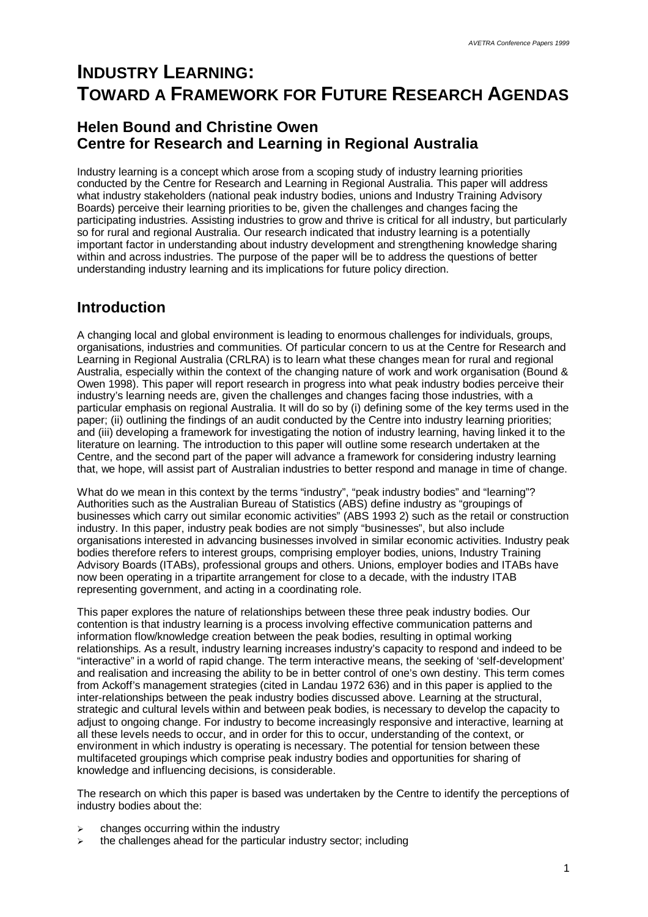# **INDUSTRY LEARNING: TOWARD A FRAMEWORK FOR FUTURE RESEARCH AGENDAS**

### **Helen Bound and Christine Owen Centre for Research and Learning in Regional Australia**

Industry learning is a concept which arose from a scoping study of industry learning priorities conducted by the Centre for Research and Learning in Regional Australia. This paper will address what industry stakeholders (national peak industry bodies, unions and Industry Training Advisory Boards) perceive their learning priorities to be, given the challenges and changes facing the participating industries. Assisting industries to grow and thrive is critical for all industry, but particularly so for rural and regional Australia. Our research indicated that industry learning is a potentially important factor in understanding about industry development and strengthening knowledge sharing within and across industries. The purpose of the paper will be to address the questions of better understanding industry learning and its implications for future policy direction.

### **Introduction**

A changing local and global environment is leading to enormous challenges for individuals, groups, organisations, industries and communities. Of particular concern to us at the Centre for Research and Learning in Regional Australia (CRLRA) is to learn what these changes mean for rural and regional Australia, especially within the context of the changing nature of work and work organisation (Bound & Owen 1998). This paper will report research in progress into what peak industry bodies perceive their industry's learning needs are, given the challenges and changes facing those industries, with a particular emphasis on regional Australia. It will do so by (i) defining some of the key terms used in the paper; (ii) outlining the findings of an audit conducted by the Centre into industry learning priorities; and (iii) developing a framework for investigating the notion of industry learning, having linked it to the literature on learning. The introduction to this paper will outline some research undertaken at the Centre, and the second part of the paper will advance a framework for considering industry learning that, we hope, will assist part of Australian industries to better respond and manage in time of change.

What do we mean in this context by the terms "industry", "peak industry bodies" and "learning"? Authorities such as the Australian Bureau of Statistics (ABS) define industry as "groupings of businesses which carry out similar economic activities" (ABS 1993 2) such as the retail or construction industry. In this paper, industry peak bodies are not simply "businesses", but also include organisations interested in advancing businesses involved in similar economic activities. Industry peak bodies therefore refers to interest groups, comprising employer bodies, unions, Industry Training Advisory Boards (ITABs), professional groups and others. Unions, employer bodies and ITABs have now been operating in a tripartite arrangement for close to a decade, with the industry ITAB representing government, and acting in a coordinating role.

This paper explores the nature of relationships between these three peak industry bodies. Our contention is that industry learning is a process involving effective communication patterns and information flow/knowledge creation between the peak bodies, resulting in optimal working relationships. As a result, industry learning increases industry's capacity to respond and indeed to be "interactive" in a world of rapid change. The term interactive means, the seeking of 'self-development' and realisation and increasing the ability to be in better control of one's own destiny. This term comes from Ackoff's management strategies (cited in Landau 1972 636) and in this paper is applied to the inter-relationships between the peak industry bodies discussed above. Learning at the structural, strategic and cultural levels within and between peak bodies, is necessary to develop the capacity to adjust to ongoing change. For industry to become increasingly responsive and interactive, learning at all these levels needs to occur, and in order for this to occur, understanding of the context, or environment in which industry is operating is necessary. The potential for tension between these multifaceted groupings which comprise peak industry bodies and opportunities for sharing of knowledge and influencing decisions, is considerable.

The research on which this paper is based was undertaken by the Centre to identify the perceptions of industry bodies about the:

- changes occurring within the industry
- the challenges ahead for the particular industry sector; including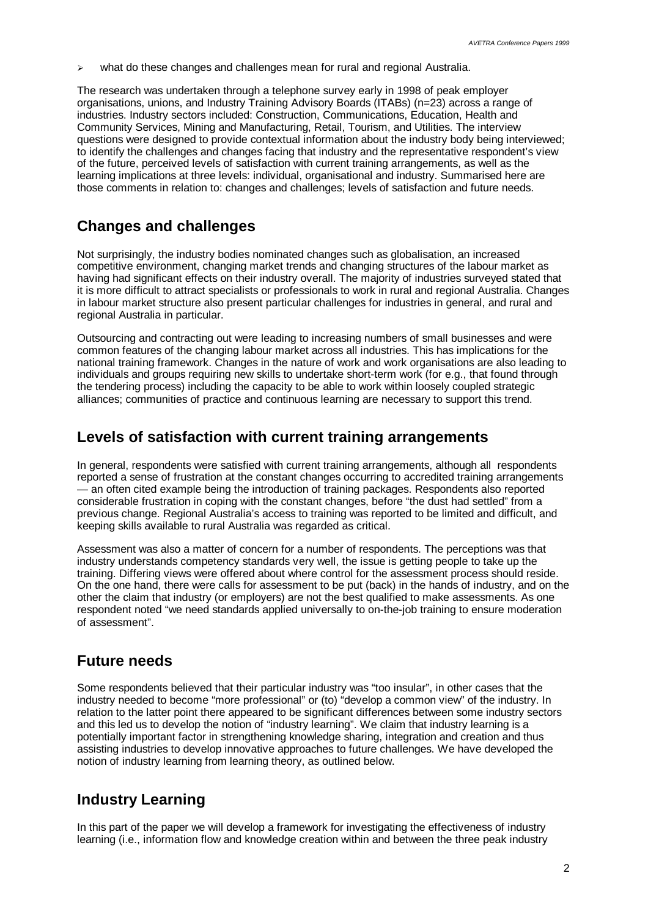$\geq$  what do these changes and challenges mean for rural and regional Australia.

The research was undertaken through a telephone survey early in 1998 of peak employer organisations, unions, and Industry Training Advisory Boards (ITABs) (n=23) across a range of industries. Industry sectors included: Construction, Communications, Education, Health and Community Services, Mining and Manufacturing, Retail, Tourism, and Utilities. The interview questions were designed to provide contextual information about the industry body being interviewed; to identify the challenges and changes facing that industry and the representative respondent's view of the future, perceived levels of satisfaction with current training arrangements, as well as the learning implications at three levels: individual, organisational and industry. Summarised here are those comments in relation to: changes and challenges; levels of satisfaction and future needs.

#### **Changes and challenges**

Not surprisingly, the industry bodies nominated changes such as globalisation, an increased competitive environment, changing market trends and changing structures of the labour market as having had significant effects on their industry overall. The majority of industries surveyed stated that it is more difficult to attract specialists or professionals to work in rural and regional Australia. Changes in labour market structure also present particular challenges for industries in general, and rural and regional Australia in particular.

Outsourcing and contracting out were leading to increasing numbers of small businesses and were common features of the changing labour market across all industries. This has implications for the national training framework. Changes in the nature of work and work organisations are also leading to individuals and groups requiring new skills to undertake short-term work (for e.g., that found through the tendering process) including the capacity to be able to work within loosely coupled strategic alliances; communities of practice and continuous learning are necessary to support this trend.

#### **Levels of satisfaction with current training arrangements**

In general, respondents were satisfied with current training arrangements, although all respondents reported a sense of frustration at the constant changes occurring to accredited training arrangements — an often cited example being the introduction of training packages. Respondents also reported considerable frustration in coping with the constant changes, before "the dust had settled" from a previous change. Regional Australia's access to training was reported to be limited and difficult, and keeping skills available to rural Australia was regarded as critical.

Assessment was also a matter of concern for a number of respondents. The perceptions was that industry understands competency standards very well, the issue is getting people to take up the training. Differing views were offered about where control for the assessment process should reside. On the one hand, there were calls for assessment to be put (back) in the hands of industry, and on the other the claim that industry (or employers) are not the best qualified to make assessments. As one respondent noted "we need standards applied universally to on-the-job training to ensure moderation of assessment".

#### **Future needs**

Some respondents believed that their particular industry was "too insular", in other cases that the industry needed to become "more professional" or (to) "develop a common view" of the industry. In relation to the latter point there appeared to be significant differences between some industry sectors and this led us to develop the notion of "industry learning". We claim that industry learning is a potentially important factor in strengthening knowledge sharing, integration and creation and thus assisting industries to develop innovative approaches to future challenges. We have developed the notion of industry learning from learning theory, as outlined below.

#### **Industry Learning**

In this part of the paper we will develop a framework for investigating the effectiveness of industry learning (i.e., information flow and knowledge creation within and between the three peak industry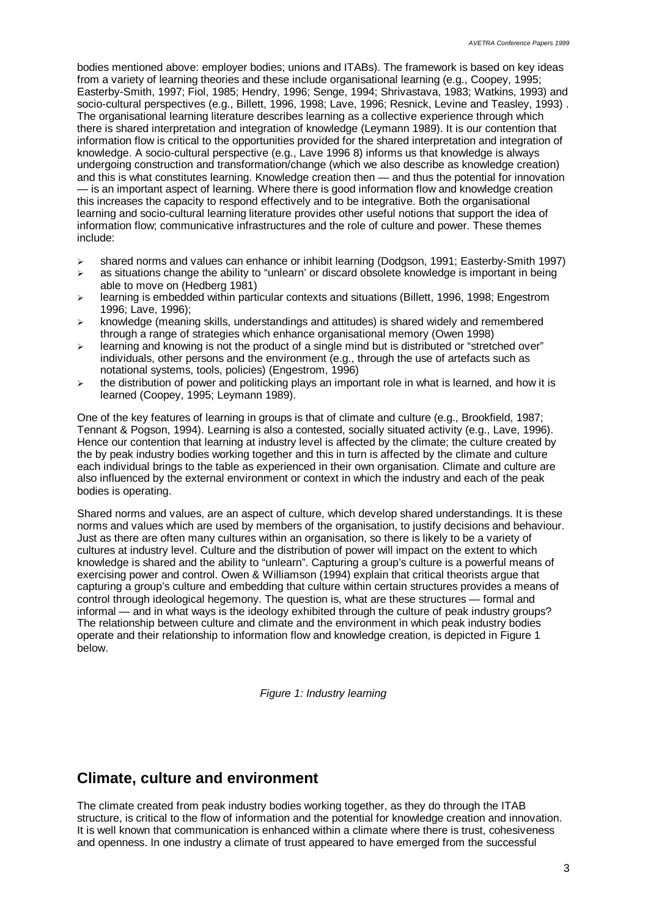bodies mentioned above: employer bodies; unions and ITABs). The framework is based on key ideas from a variety of learning theories and these include organisational learning (e.g., Coopey, 1995; Easterby-Smith, 1997; Fiol, 1985; Hendry, 1996; Senge, 1994; Shrivastava, 1983; Watkins, 1993) and socio-cultural perspectives (e.g., Billett, 1996, 1998; Lave, 1996; Resnick, Levine and Teasley, 1993) . The organisational learning literature describes learning as a collective experience through which there is shared interpretation and integration of knowledge (Leymann 1989). It is our contention that information flow is critical to the opportunities provided for the shared interpretation and integration of knowledge. A socio-cultural perspective (e.g., Lave 1996 8) informs us that knowledge is always undergoing construction and transformation/change (which we also describe as knowledge creation) and this is what constitutes learning. Knowledge creation then — and thus the potential for innovation — is an important aspect of learning. Where there is good information flow and knowledge creation this increases the capacity to respond effectively and to be integrative. Both the organisational learning and socio-cultural learning literature provides other useful notions that support the idea of information flow; communicative infrastructures and the role of culture and power. These themes include:

- $\ge$  shared norms and values can enhance or inhibit learning (Dodgson, 1991; Easterby-Smith 1997)
- $\geq$  as situations change the ability to "unlearn' or discard obsolete knowledge is important in being able to move on (Hedberg 1981)
- $\geq$  learning is embedded within particular contexts and situations (Billett, 1996, 1998; Engestrom 1996; Lave, 1996);
- $\triangleright$  knowledge (meaning skills, understandings and attitudes) is shared widely and remembered through a range of strategies which enhance organisational memory (Owen 1998)
- $\geq$  learning and knowing is not the product of a single mind but is distributed or "stretched over" individuals, other persons and the environment (e.g., through the use of artefacts such as notational systems, tools, policies) (Engestrom, 1996)
- $\triangleright$  the distribution of power and politicking plays an important role in what is learned, and how it is learned (Coopey, 1995; Leymann 1989).

One of the key features of learning in groups is that of climate and culture (e.g., Brookfield, 1987; Tennant & Pogson, 1994). Learning is also a contested, socially situated activity (e.g., Lave, 1996). Hence our contention that learning at industry level is affected by the climate; the culture created by the by peak industry bodies working together and this in turn is affected by the climate and culture each individual brings to the table as experienced in their own organisation. Climate and culture are also influenced by the external environment or context in which the industry and each of the peak bodies is operating.

Shared norms and values, are an aspect of culture, which develop shared understandings. It is these norms and values which are used by members of the organisation, to justify decisions and behaviour. Just as there are often many cultures within an organisation, so there is likely to be a variety of cultures at industry level. Culture and the distribution of power will impact on the extent to which knowledge is shared and the ability to "unlearn". Capturing a group's culture is a powerful means of exercising power and control. Owen & Williamson (1994) explain that critical theorists argue that capturing a group's culture and embedding that culture within certain structures provides a means of control through ideological hegemony. The question is, what are these structures — formal and informal — and in what ways is the ideology exhibited through the culture of peak industry groups? The relationship between culture and climate and the environment in which peak industry bodies operate and their relationship to information flow and knowledge creation, is depicted in Figure 1 below.

*Figure 1: Industry learning*

### **Climate, culture and environment**

The climate created from peak industry bodies working together, as they do through the ITAB structure, is critical to the flow of information and the potential for knowledge creation and innovation. It is well known that communication is enhanced within a climate where there is trust, cohesiveness and openness. In one industry a climate of trust appeared to have emerged from the successful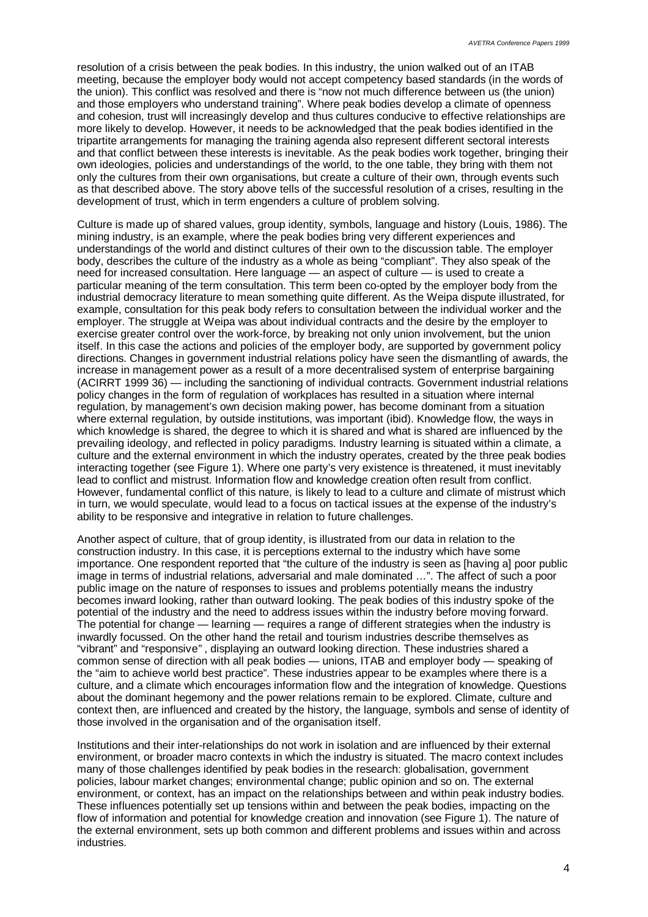resolution of a crisis between the peak bodies. In this industry, the union walked out of an ITAB meeting, because the employer body would not accept competency based standards (in the words of the union). This conflict was resolved and there is "now not much difference between us (the union) and those employers who understand training". Where peak bodies develop a climate of openness and cohesion, trust will increasingly develop and thus cultures conducive to effective relationships are more likely to develop. However, it needs to be acknowledged that the peak bodies identified in the tripartite arrangements for managing the training agenda also represent different sectoral interests and that conflict between these interests is inevitable. As the peak bodies work together, bringing their own ideologies, policies and understandings of the world, to the one table, they bring with them not only the cultures from their own organisations, but create a culture of their own, through events such as that described above. The story above tells of the successful resolution of a crises, resulting in the development of trust, which in term engenders a culture of problem solving.

Culture is made up of shared values, group identity, symbols, language and history (Louis, 1986). The mining industry, is an example, where the peak bodies bring very different experiences and understandings of the world and distinct cultures of their own to the discussion table. The employer body, describes the culture of the industry as a whole as being "compliant". They also speak of the need for increased consultation. Here language — an aspect of culture — is used to create a particular meaning of the term consultation. This term been co-opted by the employer body from the industrial democracy literature to mean something quite different. As the Weipa dispute illustrated, for example, consultation for this peak body refers to consultation between the individual worker and the employer. The struggle at Weipa was about individual contracts and the desire by the employer to exercise greater control over the work-force, by breaking not only union involvement, but the union itself. In this case the actions and policies of the employer body, are supported by government policy directions. Changes in government industrial relations policy have seen the dismantling of awards, the increase in management power as a result of a more decentralised system of enterprise bargaining (ACIRRT 1999 36) — including the sanctioning of individual contracts. Government industrial relations policy changes in the form of regulation of workplaces has resulted in a situation where internal regulation, by management's own decision making power, has become dominant from a situation where external regulation, by outside institutions, was important (ibid). Knowledge flow, the ways in which knowledge is shared, the degree to which it is shared and what is shared are influenced by the prevailing ideology, and reflected in policy paradigms. Industry learning is situated within a climate, a culture and the external environment in which the industry operates, created by the three peak bodies interacting together (see Figure 1). Where one party's very existence is threatened, it must inevitably lead to conflict and mistrust. Information flow and knowledge creation often result from conflict. However, fundamental conflict of this nature, is likely to lead to a culture and climate of mistrust which in turn, we would speculate, would lead to a focus on tactical issues at the expense of the industry's ability to be responsive and integrative in relation to future challenges.

Another aspect of culture, that of group identity, is illustrated from our data in relation to the construction industry. In this case, it is perceptions external to the industry which have some importance. One respondent reported that "the culture of the industry is seen as [having a] poor public image in terms of industrial relations, adversarial and male dominated … ". The affect of such a poor public image on the nature of responses to issues and problems potentially means the industry becomes inward looking, rather than outward looking. The peak bodies of this industry spoke of the potential of the industry and the need to address issues within the industry before moving forward. The potential for change — learning — requires a range of different strategies when the industry is inwardly focussed. On the other hand the retail and tourism industries describe themselves as "vibrant" and "responsive*"* , displaying an outward looking direction. These industries shared a common sense of direction with all peak bodies — unions, ITAB and employer body — speaking of the "aim to achieve world best practice". These industries appear to be examples where there is a culture, and a climate which encourages information flow and the integration of knowledge. Questions about the dominant hegemony and the power relations remain to be explored. Climate, culture and context then, are influenced and created by the history, the language, symbols and sense of identity of those involved in the organisation and of the organisation itself.

Institutions and their inter-relationships do not work in isolation and are influenced by their external environment, or broader macro contexts in which the industry is situated. The macro context includes many of those challenges identified by peak bodies in the research: globalisation, government policies, labour market changes; environmental change; public opinion and so on. The external environment, or context, has an impact on the relationships between and within peak industry bodies. These influences potentially set up tensions within and between the peak bodies, impacting on the flow of information and potential for knowledge creation and innovation (see Figure 1). The nature of the external environment, sets up both common and different problems and issues within and across industries.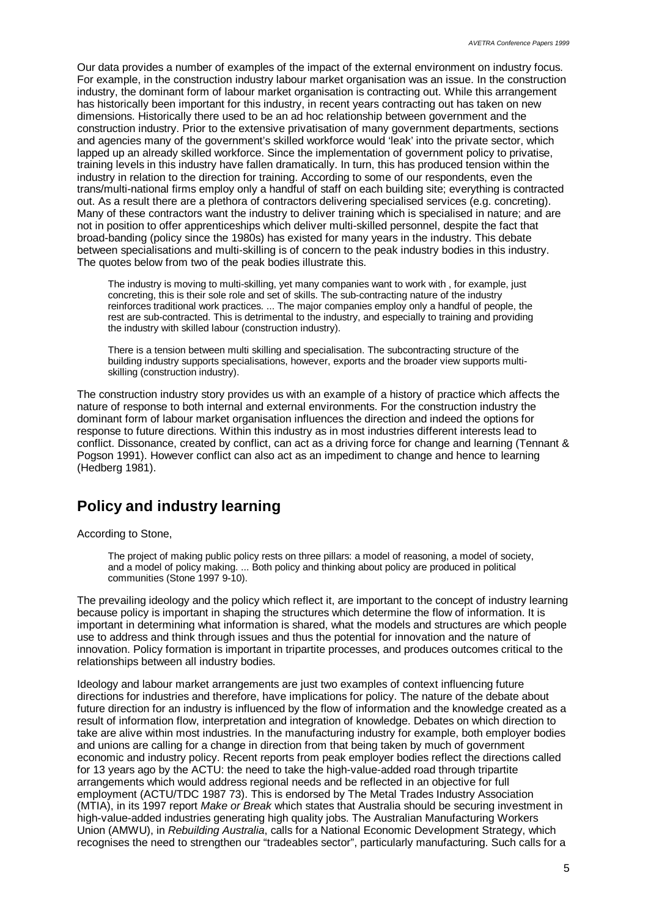Our data provides a number of examples of the impact of the external environment on industry focus. For example, in the construction industry labour market organisation was an issue. In the construction industry, the dominant form of labour market organisation is contracting out. While this arrangement has historically been important for this industry, in recent years contracting out has taken on new dimensions. Historically there used to be an ad hoc relationship between government and the construction industry. Prior to the extensive privatisation of many government departments, sections and agencies many of the government's skilled workforce would 'leak' into the private sector, which lapped up an already skilled workforce. Since the implementation of government policy to privatise, training levels in this industry have fallen dramatically. In turn, this has produced tension within the industry in relation to the direction for training. According to some of our respondents, even the trans/multi-national firms employ only a handful of staff on each building site; everything is contracted out. As a result there are a plethora of contractors delivering specialised services (e.g. concreting). Many of these contractors want the industry to deliver training which is specialised in nature; and are not in position to offer apprenticeships which deliver multi-skilled personnel, despite the fact that broad-banding (policy since the 1980s) has existed for many years in the industry. This debate between specialisations and multi-skilling is of concern to the peak industry bodies in this industry. The quotes below from two of the peak bodies illustrate this.

The industry is moving to multi-skilling, yet many companies want to work with , for example, just concreting, this is their sole role and set of skills. The sub-contracting nature of the industry reinforces traditional work practices. ... The major companies employ only a handful of people, the rest are sub-contracted. This is detrimental to the industry, and especially to training and providing the industry with skilled labour (construction industry).

There is a tension between multi skilling and specialisation. The subcontracting structure of the building industry supports specialisations, however, exports and the broader view supports multiskilling (construction industry).

The construction industry story provides us with an example of a history of practice which affects the nature of response to both internal and external environments. For the construction industry the dominant form of labour market organisation influences the direction and indeed the options for response to future directions. Within this industry as in most industries different interests lead to conflict. Dissonance, created by conflict, can act as a driving force for change and learning (Tennant & Pogson 1991). However conflict can also act as an impediment to change and hence to learning (Hedberg 1981).

### **Policy and industry learning**

According to Stone,

The project of making public policy rests on three pillars: a model of reasoning, a model of society, and a model of policy making. ... Both policy and thinking about policy are produced in political communities (Stone 1997 9-10).

The prevailing ideology and the policy which reflect it, are important to the concept of industry learning because policy is important in shaping the structures which determine the flow of information. It is important in determining what information is shared, what the models and structures are which people use to address and think through issues and thus the potential for innovation and the nature of innovation. Policy formation is important in tripartite processes, and produces outcomes critical to the relationships between all industry bodies.

Ideology and labour market arrangements are just two examples of context influencing future directions for industries and therefore, have implications for policy. The nature of the debate about future direction for an industry is influenced by the flow of information and the knowledge created as a result of information flow, interpretation and integration of knowledge. Debates on which direction to take are alive within most industries. In the manufacturing industry for example, both employer bodies and unions are calling for a change in direction from that being taken by much of government economic and industry policy. Recent reports from peak employer bodies reflect the directions called for 13 years ago by the ACTU: the need to take the high-value-added road through tripartite arrangements which would address regional needs and be reflected in an objective for full employment (ACTU/TDC 1987 73). This is endorsed by The Metal Trades Industry Association (MTIA), in its 1997 report *Make or Break* which states that Australia should be securing investment in high-value-added industries generating high quality jobs. The Australian Manufacturing Workers Union (AMWU), in *Rebuilding Australia*, calls for a National Economic Development Strategy, which recognises the need to strengthen our "tradeables sector", particularly manufacturing. Such calls for a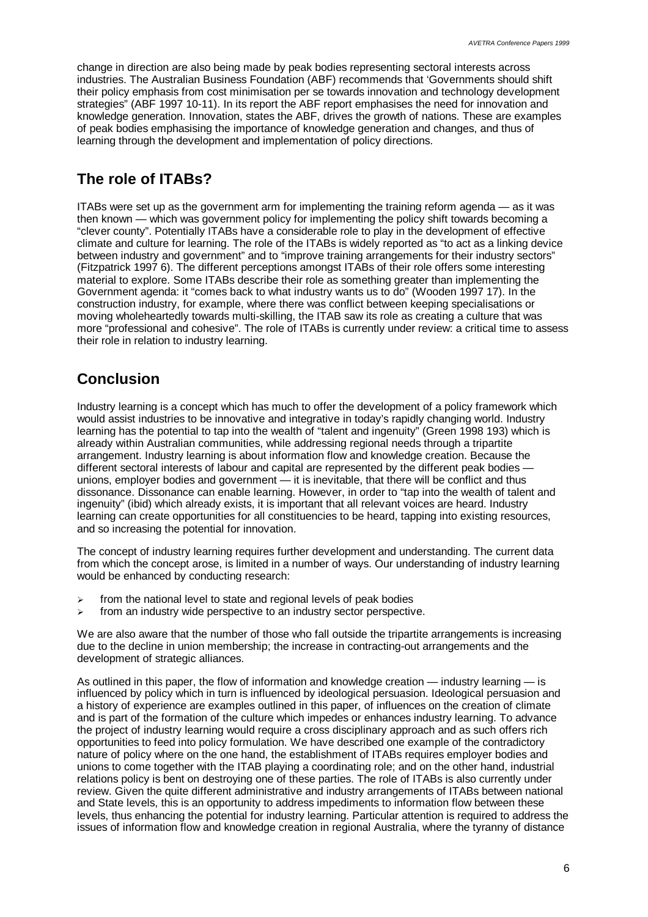change in direction are also being made by peak bodies representing sectoral interests across industries. The Australian Business Foundation (ABF) recommends that 'Governments should shift their policy emphasis from cost minimisation per se towards innovation and technology development strategies" (ABF 1997 10-11). In its report the ABF report emphasises the need for innovation and knowledge generation. Innovation, states the ABF, drives the growth of nations. These are examples of peak bodies emphasising the importance of knowledge generation and changes, and thus of learning through the development and implementation of policy directions.

### **The role of ITABs?**

ITABs were set up as the government arm for implementing the training reform agenda — as it was then known — which was government policy for implementing the policy shift towards becoming a "clever county". Potentially ITABs have a considerable role to play in the development of effective climate and culture for learning. The role of the ITABs is widely reported as "to act as a linking device between industry and government" and to "improve training arrangements for their industry sectors" (Fitzpatrick 1997 6). The different perceptions amongst ITABs of their role offers some interesting material to explore. Some ITABs describe their role as something greater than implementing the Government agenda: it "comes back to what industry wants us to do" (Wooden 1997 17). In the construction industry, for example, where there was conflict between keeping specialisations or moving wholeheartedly towards multi-skilling, the ITAB saw its role as creating a culture that was more "professional and cohesive". The role of ITABs is currently under review: a critical time to assess their role in relation to industry learning.

## **Conclusion**

Industry learning is a concept which has much to offer the development of a policy framework which would assist industries to be innovative and integrative in today's rapidly changing world. Industry learning has the potential to tap into the wealth of "talent and ingenuity" (Green 1998 193) which is already within Australian communities, while addressing regional needs through a tripartite arrangement. Industry learning is about information flow and knowledge creation. Because the different sectoral interests of labour and capital are represented by the different peak bodies unions, employer bodies and government — it is inevitable, that there will be conflict and thus dissonance. Dissonance can enable learning. However, in order to "tap into the wealth of talent and ingenuity" (ibid) which already exists, it is important that all relevant voices are heard. Industry learning can create opportunities for all constituencies to be heard, tapping into existing resources, and so increasing the potential for innovation.

The concept of industry learning requires further development and understanding. The current data from which the concept arose, is limited in a number of ways. Our understanding of industry learning would be enhanced by conducting research:

- $\ge$  from the national level to state and regional levels of peak bodies
- from an industry wide perspective to an industry sector perspective.

We are also aware that the number of those who fall outside the tripartite arrangements is increasing due to the decline in union membership; the increase in contracting-out arrangements and the development of strategic alliances.

As outlined in this paper, the flow of information and knowledge creation — industry learning — is influenced by policy which in turn is influenced by ideological persuasion. Ideological persuasion and a history of experience are examples outlined in this paper, of influences on the creation of climate and is part of the formation of the culture which impedes or enhances industry learning. To advance the project of industry learning would require a cross disciplinary approach and as such offers rich opportunities to feed into policy formulation. We have described one example of the contradictory nature of policy where on the one hand, the establishment of ITABs requires employer bodies and unions to come together with the ITAB playing a coordinating role; and on the other hand, industrial relations policy is bent on destroying one of these parties. The role of ITABs is also currently under review. Given the quite different administrative and industry arrangements of ITABs between national and State levels, this is an opportunity to address impediments to information flow between these levels, thus enhancing the potential for industry learning. Particular attention is required to address the issues of information flow and knowledge creation in regional Australia, where the tyranny of distance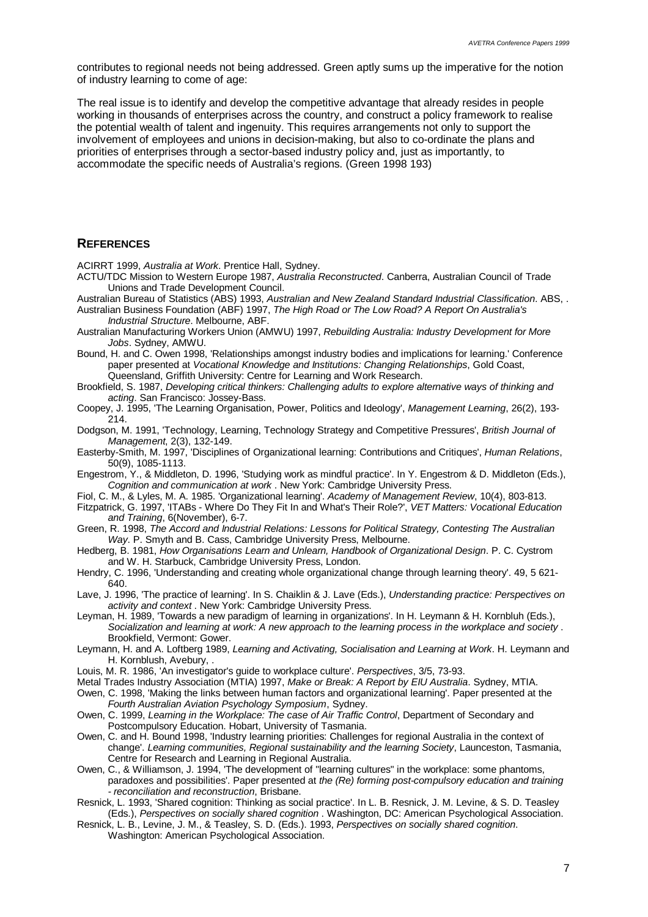contributes to regional needs not being addressed. Green aptly sums up the imperative for the notion of industry learning to come of age:

The real issue is to identify and develop the competitive advantage that already resides in people working in thousands of enterprises across the country, and construct a policy framework to realise the potential wealth of talent and ingenuity. This requires arrangements not only to support the involvement of employees and unions in decision-making, but also to co-ordinate the plans and priorities of enterprises through a sector-based industry policy and, just as importantly, to accommodate the specific needs of Australia's regions. (Green 1998 193)

#### **REFERENCES**

ACIRRT 1999, *Australia at Work*. Prentice Hall, Sydney.

- ACTU/TDC Mission to Western Europe 1987, *Australia Reconstructed*. Canberra, Australian Council of Trade Unions and Trade Development Council.
- Australian Bureau of Statistics (ABS) 1993, *Australian and New Zealand Standard Industrial Classification*. ABS, . Australian Business Foundation (ABF) 1997, *The High Road or The Low Road? A Report On Australia's Industrial Structure*. Melbourne, ABF.
- Australian Manufacturing Workers Union (AMWU) 1997, *Rebuilding Australia: Industry Development for More Jobs*. Sydney, AMWU.
- Bound, H. and C. Owen 1998, 'Relationships amongst industry bodies and implications for learning.' Conference paper presented at *Vocational Knowledge and Institutions: Changing Relationships*, Gold Coast, Queensland, Griffith University: Centre for Learning and Work Research.
- Brookfield, S. 1987, *Developing critical thinkers: Challenging adults to explore alternative ways of thinking and acting*. San Francisco: Jossey-Bass.
- Coopey, J. 1995, 'The Learning Organisation, Power, Politics and Ideology', *Management Learning*, 26(2), 193-  $214.$
- Dodgson, M. 1991, 'Technology, Learning, Technology Strategy and Competitive Pressures', *British Journal of Management*, 2(3), 132-149.
- Easterby-Smith, M. 1997, 'Disciplines of Organizational learning: Contributions and Critiques', *Human Relations*, 50(9), 1085-1113.
- Engestrom, Y., & Middleton, D. 1996, 'Studying work as mindful practice'. In Y. Engestrom & D. Middleton (Eds.), *Cognition and communication at work* . New York: Cambridge University Press.
- Fiol, C. M., & Lyles, M. A. 1985. 'Organizational learning'. *Academy of Management Review*, 10(4), 803-813.
- Fitzpatrick, G. 1997, 'ITABs Where Do They Fit In and What's Their Role?', *VET Matters: Vocational Education and Training*, 6(November), 6-7.
- Green, R. 1998, *The Accord and Industrial Relations: Lessons for Political Strategy, Contesting The Australian Way*. P. Smyth and B. Cass, Cambridge University Press, Melbourne.
- Hedberg, B. 1981, *How Organisations Learn and Unlearn, Handbook of Organizational Design*. P. C. Cystrom and W. H. Starbuck, Cambridge University Press, London.
- Hendry, C. 1996, 'Understanding and creating whole organizational change through learning theory'. 49, 5 621- 640.
- Lave, J. 1996, 'The practice of learning'. In S. Chaiklin & J. Lave (Eds.), *Understanding practice: Perspectives on activity and context* . New York: Cambridge University Press.
- Leyman, H. 1989, 'Towards a new paradigm of learning in organizations'. In H. Leymann & H. Kornbluh (Eds.), *Socialization and learning at work: A new approach to the learning process in the workplace and society* . Brookfield, Vermont: Gower.
- Leymann, H. and A. Loftberg 1989, *Learning and Activating, Socialisation and Learning at Work*. H. Leymann and H. Kornblush, Avebury, .
- Louis, M. R. 1986, 'An investigator's guide to workplace culture'. *Perspectives*, 3/5, 73-93.
- Metal Trades Industry Association (MTIA) 1997, *Make or Break: A Report by EIU Australia*. Sydney, MTIA.
- Owen, C. 1998, 'Making the links between human factors and organizational learning'. Paper presented at the *Fourth Australian Aviation Psychology Symposium*, Sydney.
- Owen, C. 1999, *Learning in the Workplace: The case of Air Traffic Control*, Department of Secondary and Postcompulsory Education. Hobart, University of Tasmania.
- Owen, C. and H. Bound 1998, 'Industry learning priorities: Challenges for regional Australia in the context of change'. *Learning communities, Regional sustainability and the learning Society*, Launceston, Tasmania, Centre for Research and Learning in Regional Australia.
- Owen, C., & Williamson, J. 1994, 'The development of "learning cultures" in the workplace: some phantoms, paradoxes and possibilities'. Paper presented at *the (Re) forming post-compulsory education and training - reconciliation and reconstruction*, Brisbane.
- Resnick, L. 1993, 'Shared cognition: Thinking as social practice'. In L. B. Resnick, J. M. Levine, & S. D. Teasley (Eds.), *Perspectives on socially shared cognition* . Washington, DC: American Psychological Association.
- Resnick, L. B., Levine, J. M., & Teasley, S. D. (Eds.). 1993, *Perspectives on socially shared cognition*. Washington: American Psychological Association.